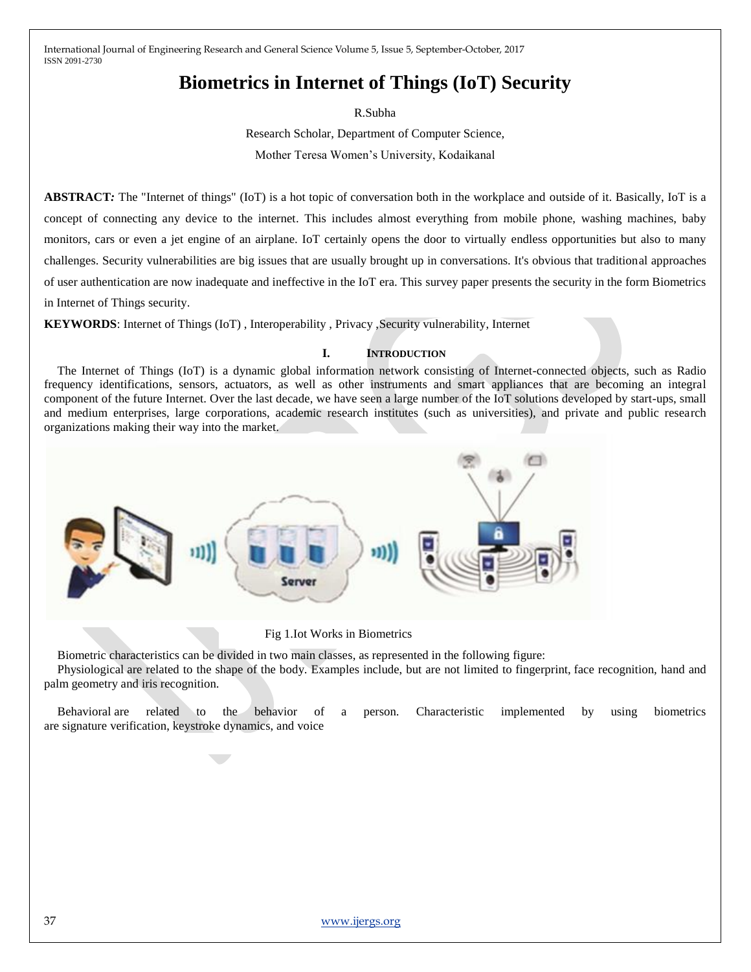# **Biometrics in Internet of Things (IoT) Security**

R.Subha

Research Scholar, Department of Computer Science, Mother Teresa Women's University, Kodaikanal

**ABSTRACT**: The "Internet of things" (IoT) is a hot topic of conversation both in the workplace and outside of it. Basically, IoT is a concept of connecting any device to the internet. This includes almost everything from mobile phone, washing machines, baby monitors, cars or even a jet engine of an airplane. IoT certainly opens the door to virtually endless opportunities but also to many challenges. Security vulnerabilities are big issues that are usually brought up in conversations. It's obvious that traditional approaches of user authentication are now inadequate and ineffective in the IoT era. This survey paper presents the security in the form Biometrics in Internet of Things security.

**KEYWORDS**: Internet of Things (IoT) , Interoperability , Privacy ,Security vulnerability, Internet

## **I. INTRODUCTION**

The Internet of Things (IoT) is a dynamic global information network consisting of Internet-connected objects, such as Radio frequency identifications, sensors, actuators, as well as other instruments and smart appliances that are becoming an integral component of the future Internet. Over the last decade, we have seen a large number of the IoT solutions developed by start-ups, small and medium enterprises, large corporations, academic research institutes (such as universities), and private and public research organizations making their way into the market.



Fig 1.Iot Works in Biometrics

Biometric characteristics can be divided in two main classes, as represented in the following figure:

Physiological are related to the shape of the body. Examples include, but are not limited to fingerprint, face recognition, hand and palm geometry and iris recognition.

Behavioral are related to the behavior of a person. Characteristic implemented by using biometrics are signature verification, keystroke dynamics, and voice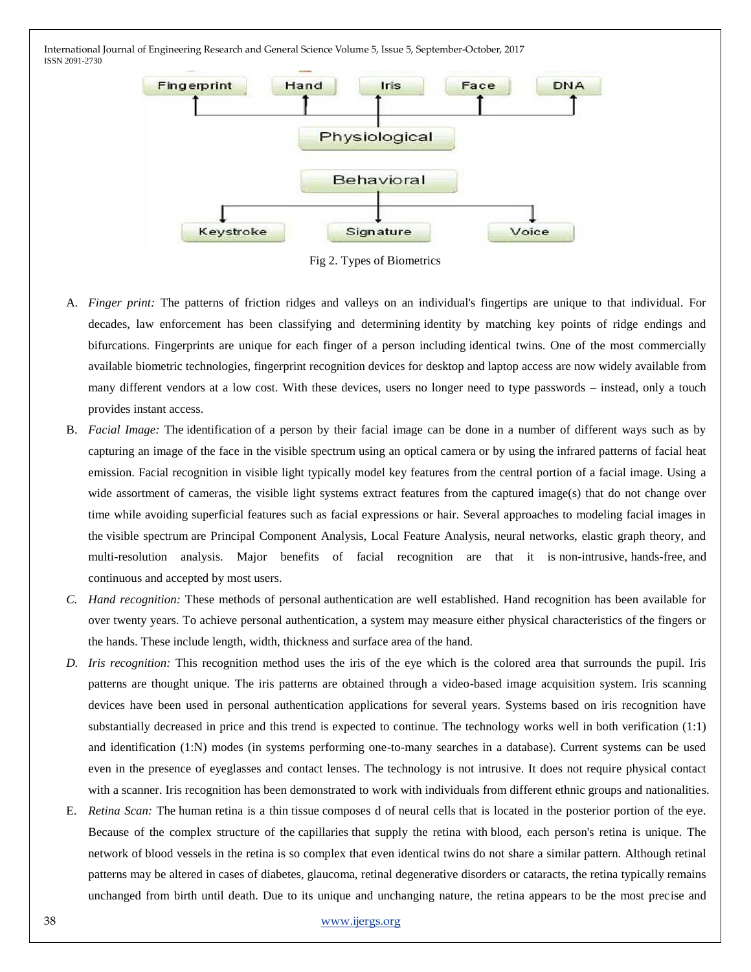

Fig 2. Types of Biometrics

- A. *Finger print:* The patterns of friction ridges and valleys on an individual's fingertips are unique to that individual. For decades, law enforcement has been classifying and determining identity by matching key points of ridge endings and bifurcations. Fingerprints are unique for each finger of a person including identical twins. One of the most commercially available biometric technologies, fingerprint recognition devices for desktop and laptop access are now widely available from many different vendors at a low cost. With these devices, users no longer need to type passwords – instead, only a touch provides instant access.
- B. *Facial Image:* The identification of a person by their facial image can be done in a number of different ways such as by capturing an image of the face in the visible spectrum using an optical camera or by using the infrared patterns of facial heat emission. Facial recognition in visible light typically model key features from the central portion of a facial image. Using a wide assortment of cameras, the visible light systems extract features from the captured image(s) that do not change over time while avoiding superficial features such as facial expressions or hair. Several approaches to modeling facial images in the visible spectrum are Principal Component Analysis, Local Feature Analysis, neural networks, elastic graph theory, and multi-resolution analysis. Major benefits of facial recognition are that it is non-intrusive, hands-free, and continuous and accepted by most users.
- *C. Hand recognition:* These methods of personal authentication are well established. Hand recognition has been available for over twenty years. To achieve personal authentication, a system may measure either physical characteristics of the fingers or the hands. These include length, width, thickness and surface area of the hand.
- *D. Iris recognition:* This recognition method uses the iris of the eye which is the colored area that surrounds the pupil. Iris patterns are thought unique. The iris patterns are obtained through a video-based image acquisition system. Iris scanning devices have been used in personal authentication applications for several years. Systems based on iris recognition have substantially decreased in price and this trend is expected to continue. The technology works well in both verification (1:1) and identification (1:N) modes (in systems performing one-to-many searches in a database). Current systems can be used even in the presence of eyeglasses and contact lenses. The technology is not intrusive. It does not require physical contact with a scanner. Iris recognition has been demonstrated to work with individuals from different ethnic groups and nationalities.
- E. *Retina Scan:* The human retina is a thin tissue composes d of neural cells that is located in the posterior portion of the eye. Because of the complex structure of the capillaries that supply the retina with blood, each person's retina is unique. The network of blood vessels in the retina is so complex that even identical twins do not share a similar pattern. Although retinal patterns may be altered in cases of diabetes, glaucoma, retinal degenerative disorders or cataracts, the retina typically remains unchanged from birth until death. Due to its unique and unchanging nature, the retina appears to be the most precise and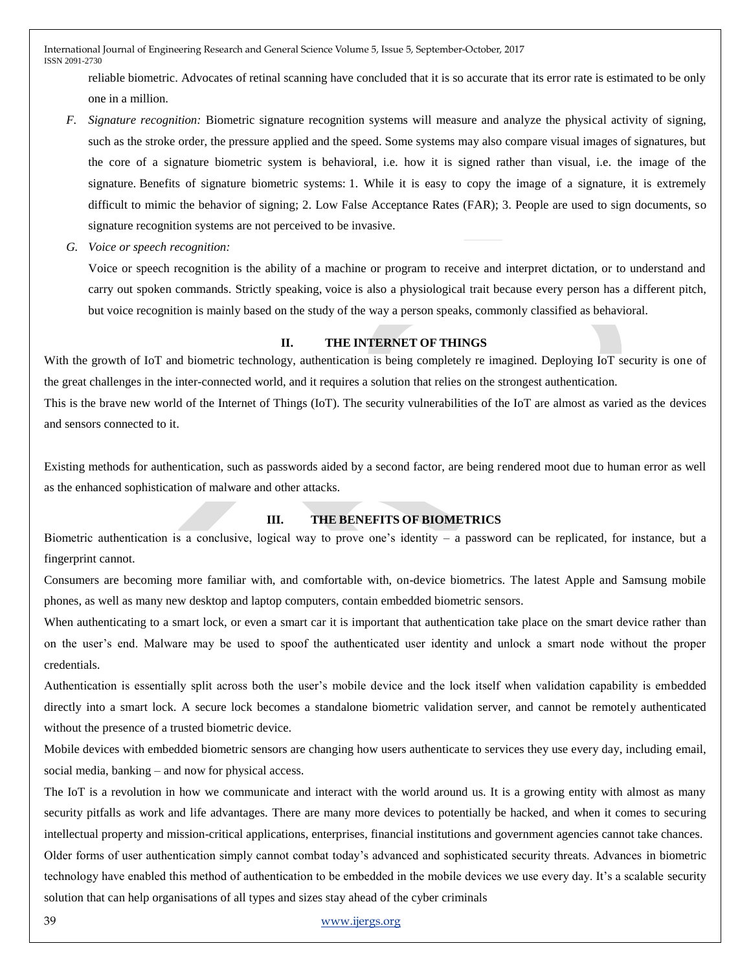reliable biometric. Advocates of retinal scanning have concluded that it is so accurate that its error rate is estimated to be only one in a million.

- *F. Signature recognition:* Biometric signature recognition systems will measure and analyze the physical activity of signing, such as the stroke order, the pressure applied and the speed. Some systems may also compare visual images of signatures, but the core of a signature biometric system is behavioral, i.e. how it is signed rather than visual, i.e. the image of the signature. Benefits of signature biometric systems: 1. While it is easy to copy the image of a signature, it is extremely difficult to mimic the behavior of signing; 2. Low False Acceptance Rates (FAR); 3. People are used to sign documents, so signature recognition systems are not perceived to be invasive.
- *G. Voice or speech recognition:*

Voice or speech recognition is the ability of a machine or program to receive and interpret dictation, or to understand and carry out spoken commands. Strictly speaking, voice is also a physiological trait because every person has a different pitch, but voice recognition is mainly based on the study of the way a person speaks, commonly classified as behavioral.

# **II. THE INTERNET OF THINGS**

With the growth of IoT and biometric technology, authentication is being completely re imagined. Deploying IoT security is one of the great challenges in the inter-connected world, and it requires a solution that relies on the strongest authentication.

This is the brave new world of the Internet of Things (IoT). The security vulnerabilities of the IoT are almost as varied as the devices and sensors connected to it.

Existing methods for authentication, such as passwords aided by a second factor, are being rendered moot due to human error as well as the enhanced sophistication of malware and other attacks.

# **III. THE BENEFITS OF BIOMETRICS**

Biometric authentication is a conclusive, logical way to prove one's identity – a password can be replicated, for instance, but a fingerprint cannot.

Consumers are becoming more familiar with, and comfortable with, on-device biometrics. The latest Apple and Samsung mobile phones, as well as many new desktop and laptop computers, contain embedded biometric sensors.

When authenticating to a smart lock, or even a smart car it is important that authentication take place on the smart device rather than on the user's end. Malware may be used to spoof the authenticated user identity and unlock a smart node without the proper credentials.

Authentication is essentially split across both the user's mobile device and the lock itself when validation capability is embedded directly into a smart lock. A secure lock becomes a standalone biometric validation server, and cannot be remotely authenticated without the presence of a trusted biometric device.

Mobile devices with embedded biometric sensors are changing how users authenticate to services they use every day, including email, social media, banking – and now for physical access.

The IoT is a revolution in how we communicate and interact with the world around us. It is a growing entity with almost as many security pitfalls as work and life advantages. There are many more devices to potentially be hacked, and when it comes to securing intellectual property and mission-critical applications, enterprises, financial institutions and government agencies cannot take chances. Older forms of user authentication simply cannot combat today's advanced and sophisticated security threats. Advances in biometric technology have enabled this method of authentication to be embedded in the mobile devices we use every day. It's a scalable security solution that can help organisations of all types and sizes stay ahead of the cyber criminals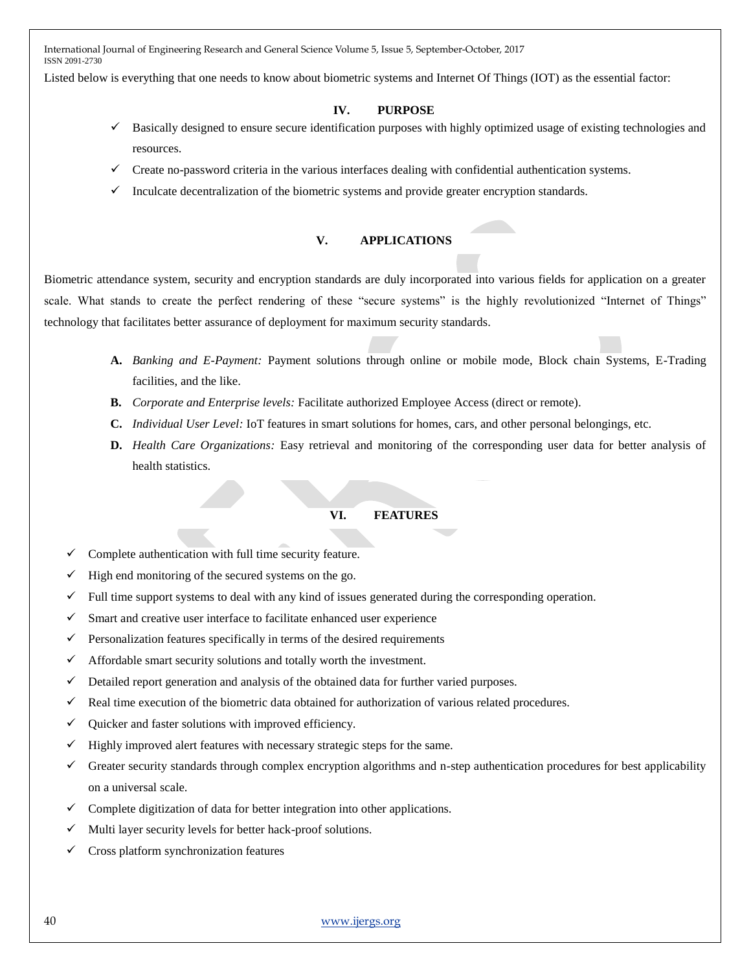Listed below is everything that one needs to know about biometric systems and Internet Of Things (IOT) as the essential factor:

## **IV. PURPOSE**

- Basically designed to ensure secure identification purposes with highly optimized usage of existing technologies and resources.
- $\checkmark$  Create no-password criteria in the various interfaces dealing with confidential authentication systems.
- $\checkmark$  Inculcate decentralization of the biometric systems and provide greater encryption standards.

#### **V. APPLICATIONS**

[Biometric attendance system,](https://www.topteninsider.com/biometric-attendance-system) security and encryption standards are duly incorporated into various fields for application on a greater scale. What stands to create the perfect rendering of these "secure systems" is the highly revolutionized "Internet of Things" technology that facilitates better assurance of deployment for maximum security standards.

- **A.** *Banking and E-Payment:* Payment solutions through online or mobile mode, Block chain Systems, E-Trading facilities, and the like.
- **B.** *Corporate and Enterprise levels:* Facilitate authorized Employee Access (direct or remote).
- **C.** *Individual User Level:* IoT features in smart solutions for homes, cars, and other personal belongings, etc.
- **D.** *Health Care Organizations:* Easy retrieval and monitoring of the corresponding user data for better analysis of health statistics.

## **VI. FEATURES**

- Complete authentication with full time security feature.
- High end monitoring of the secured systems on the go.
- $\checkmark$  Full time support systems to deal with any kind of issues generated during the corresponding operation.
- $\checkmark$  Smart and creative user interface to facilitate enhanced user experience
- $\checkmark$  Personalization features specifically in terms of the desired requirements
- $\checkmark$  Affordable smart security solutions and totally worth the investment.
- $\checkmark$  Detailed report generation and analysis of the obtained data for further varied purposes.
- $\checkmark$  Real time execution of the biometric data obtained for authorization of various related procedures.
- $\checkmark$  Quicker and faster solutions with improved efficiency.
- Highly improved alert features with necessary strategic steps for the same.
- Greater security standards through complex encryption algorithms and n-step authentication procedures for best applicability on a universal scale.
- Complete digitization of data for better integration into other applications.
- Multi layer security levels for better hack-proof solutions.
- Cross platform synchronization features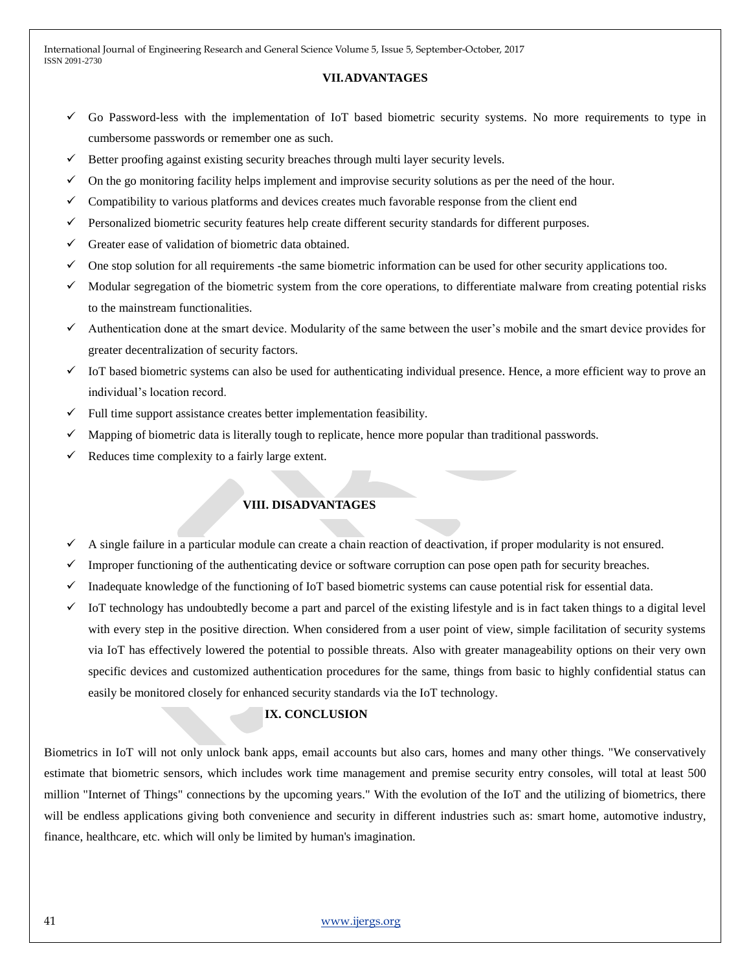#### **VII.ADVANTAGES**

- $\checkmark$  Go Password-less with the implementation of IoT based biometric security systems. No more requirements to type in cumbersome passwords or remember one as such.
- Better proofing against existing security breaches through multi layer security levels.
- On the go monitoring facility helps implement and improvise security solutions as per the need of the hour.
- Compatibility to various platforms and devices creates much favorable response from the client end
- $\checkmark$  Personalized biometric security features help create different security standards for different purposes.
- $\checkmark$  Greater ease of validation of biometric data obtained.
- One stop solution for all requirements -the same biometric information can be used for other security applications too.
- $\checkmark$  Modular segregation of the biometric system from the core operations, to differentiate malware from creating potential risks to the mainstream functionalities.
- Authentication done at the smart device. Modularity of the same between the user's mobile and the smart device provides for greater decentralization of security factors.
- $\checkmark$  IoT based biometric systems can also be used for authenticating individual presence. Hence, a more efficient way to prove an individual's location record.
- Full time support assistance creates better implementation feasibility.
- Mapping of biometric data is literally tough to replicate, hence more popular than traditional passwords.
- Reduces time complexity to a fairly large extent.

## **VIII. DISADVANTAGES**

- A single failure in a particular module can create a chain reaction of deactivation, if proper modularity is not ensured.
- Improper functioning of the authenticating device or software corruption can pose open path for security breaches.
- Inadequate knowledge of the functioning of IoT based biometric systems can cause potential risk for essential data.
- IoT technology has undoubtedly become a part and parcel of the existing lifestyle and is in fact taken things to a digital level with every step in the positive direction. When considered from a user point of view, simple facilitation of security systems via IoT has effectively lowered the potential to possible threats. Also with greater manageability options on their very own specific devices and customized authentication procedures for the same, things from basic to highly confidential status can easily be monitored closely for enhanced security standards via the IoT technology.

#### **IX. CONCLUSION**

Biometrics in IoT will not only unlock bank apps, email accounts but also cars, homes and many other things. "We conservatively estimate that biometric sensors, which includes work time management and premise security entry consoles, will total at least 500 million "Internet of Things" connections by the upcoming years." With the evolution of the IoT and the utilizing of biometrics, there will be endless applications giving both convenience and security in different industries such as: smart home, automotive industry, finance, healthcare, etc. which will only be limited by human's imagination.